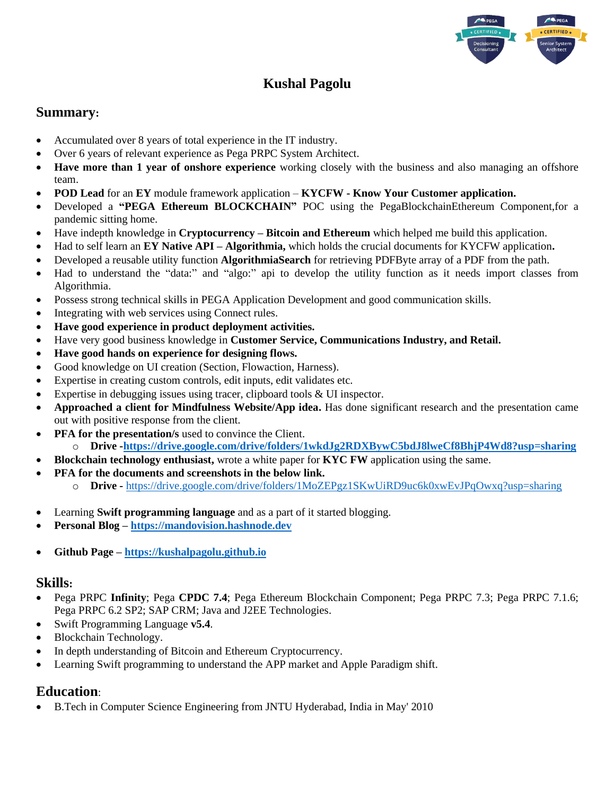

# **Kushal Pagolu**

### **Summary:**

- Accumulated over 8 years of total experience in the IT industry.
- Over 6 years of relevant experience as Pega PRPC System Architect.
- **Have more than 1 year of onshore experience** working closely with the business and also managing an offshore team.
- **POD Lead** for an **EY** module framework application **KYCFW - Know Your Customer application.**
- Developed a **"PEGA Ethereum BLOCKCHAIN"** POC using the PegaBlockchainEthereum Component,for a pandemic sitting home.
- Have indepth knowledge in **Cryptocurrency – Bitcoin and Ethereum** which helped me build this application.
- Had to self learn an **EY Native API – Algorithmia,** which holds the crucial documents for KYCFW application**.**
- Developed a reusable utility function **AlgorithmiaSearch** for retrieving PDFByte array of a PDF from the path.
- Had to understand the "data:" and "algo:" api to develop the utility function as it needs import classes from Algorithmia.
- Possess strong technical skills in PEGA Application Development and good communication skills.
- Integrating with web services using Connect rules.
- **Have good experience in product deployment activities.**
- Have very good business knowledge in **Customer Service, Communications Industry, and Retail.**
- **Have good hands on experience for designing flows.**
- Good knowledge on UI creation (Section, Flowaction, Harness).
- Expertise in creating custom controls, edit inputs, edit validates etc.
- Expertise in debugging issues using tracer, clipboard tools & UI inspector.
- **Approached a client for Mindfulness Website/App idea.** Has done significant research and the presentation came out with positive response from the client.
- **PFA for the presentation/s** used to convince the Client.
	- o **Drive [-https://drive.google.com/drive/folders/1wkdJg2RDXBywC5bdJ8lweCf8BhjP4Wd8?usp=sharing](https://drive.google.com/drive/folders/1wkdJg2RDXBywC5bdJ8lweCf8BhjP4Wd8?usp=sharing)**
	- **Blockchain technology enthusiast,** wrote a white paper for **KYC FW** application using the same.
- **PFA for the documents and screenshots in the below link.**
	- o **Drive -** <https://drive.google.com/drive/folders/1MoZEPgz1SKwUiRD9uc6k0xwEvJPqOwxq?usp=sharing>
- Learning **Swift programming language** and as a part of it started blogging.
- **Personal Blog – [https://mandovision.hashnode.dev](https://mandovision.hashnode.dev/)**
- **Github Page – [https://kushalpagolu.github.io](https://kushalpagolu.github.io/)**

#### **Skills:**

- Pega PRPC **Infinity**; Pega **CPDC 7.4**; Pega Ethereum Blockchain Component; Pega PRPC 7.3; Pega PRPC 7.1.6; Pega PRPC 6.2 SP2; SAP CRM; Java and J2EE Technologies.
- Swift Programming Language **v5.4**.
- Blockchain Technology.
- In depth understanding of Bitcoin and Ethereum Cryptocurrency.
- Learning Swift programming to understand the APP market and Apple Paradigm shift.

### **Education**:

• B.Tech in Computer Science Engineering from JNTU Hyderabad, India in May' 2010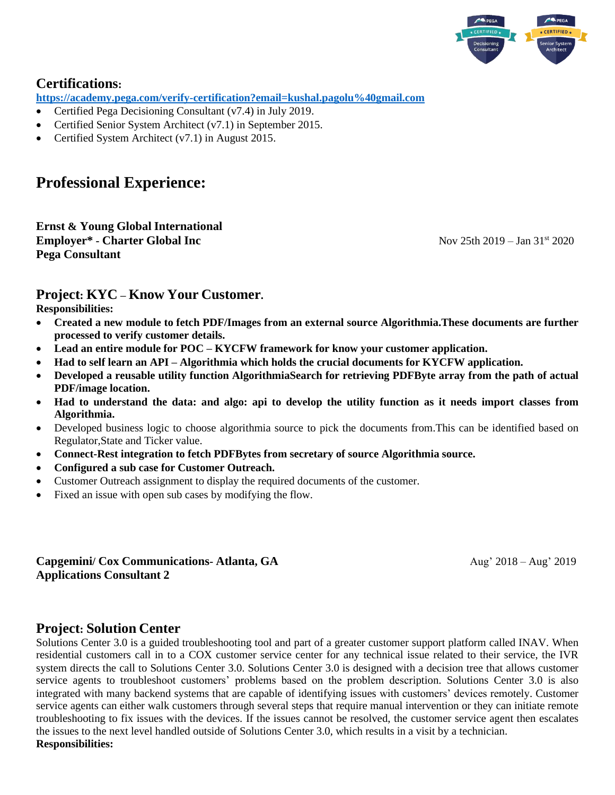

### **Certifications:**

**<https://academy.pega.com/verify-certification?email=kushal.pagolu%40gmail.com>**

- Certified Pega Decisioning Consultant (v7.4) in July 2019.
- Certified Senior System Architect (v7.1) in September 2015.
- Certified System Architect (v7.1) in August 2015.

# **Professional Experience:**

**Ernst & Young Global International Employer\* - Charter Global Inc** Nov 25th 2019 – Jan 31st 2020 **Pega Consultant**

### **Project: KYC – Know Your Customer.**

**Responsibilities:** 

- **Created a new module to fetch PDF/Images from an external source Algorithmia.These documents are further processed to verify customer details.**
- **Lead an entire module for POC – KYCFW framework for know your customer application.**
- **Had to self learn an API – Algorithmia which holds the crucial documents for KYCFW application.**
- **Developed a reusable utility function AlgorithmiaSearch for retrieving PDFByte array from the path of actual PDF/image location.**
- **Had to understand the data: and algo: api to develop the utility function as it needs import classes from Algorithmia.**
- Developed business logic to choose algorithmia source to pick the documents from. This can be identified based on Regulator,State and Ticker value.
- **Connect-Rest integration to fetch PDFBytes from secretary of source Algorithmia source.**
- **Configured a sub case for Customer Outreach.**
- Customer Outreach assignment to display the required documents of the customer.
- Fixed an issue with open sub cases by modifying the flow.

**Capgemini/ Cox Communications- Atlanta, GA** Aug' 2018 – Aug' 2019 **Applications Consultant 2**

### **Project: Solution Center**

Solutions Center 3.0 is a guided troubleshooting tool and part of a greater customer support platform called INAV. When residential customers call in to a COX customer service center for any technical issue related to their service, the IVR system directs the call to Solutions Center 3.0. Solutions Center 3.0 is designed with a decision tree that allows customer service agents to troubleshoot customers' problems based on the problem description. Solutions Center 3.0 is also integrated with many backend systems that are capable of identifying issues with customers' devices remotely. Customer service agents can either walk customers through several steps that require manual intervention or they can initiate remote troubleshooting to fix issues with the devices. If the issues cannot be resolved, the customer service agent then escalates the issues to the next level handled outside of Solutions Center 3.0, which results in a visit by a technician. **Responsibilities:**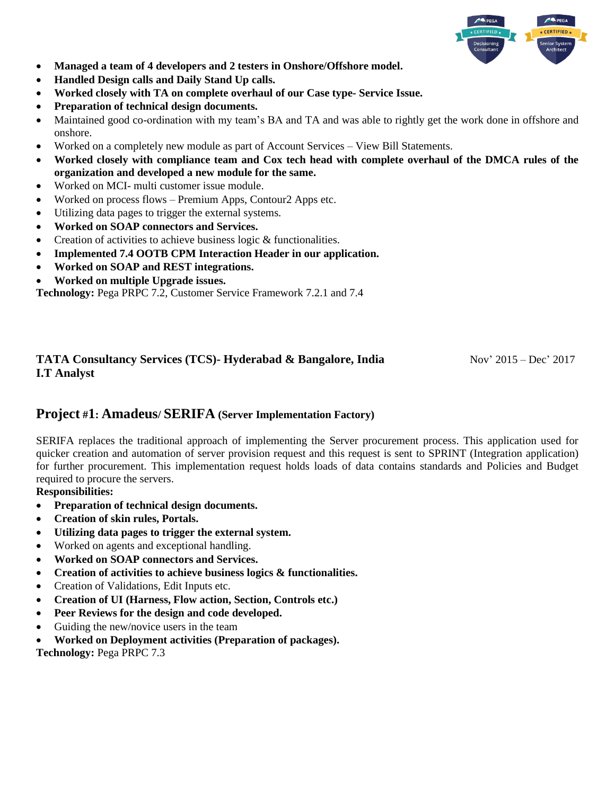

- **Managed a team of 4 developers and 2 testers in Onshore/Offshore model.**
- **Handled Design calls and Daily Stand Up calls.**
- **Worked closely with TA on complete overhaul of our Case type- Service Issue.**
- **Preparation of technical design documents.**
- Maintained good co-ordination with my team's BA and TA and was able to rightly get the work done in offshore and onshore.
- Worked on a completely new module as part of Account Services View Bill Statements.
- **Worked closely with compliance team and Cox tech head with complete overhaul of the DMCA rules of the organization and developed a new module for the same.**
- Worked on MCI- multi customer issue module.
- Worked on process flows Premium Apps, Contour 2 Apps etc.
- Utilizing data pages to trigger the external systems.
- **Worked on SOAP connectors and Services.**
- Creation of activities to achieve business logic & functionalities.
- **Implemented 7.4 OOTB CPM Interaction Header in our application.**
- **Worked on SOAP and REST integrations.**
- **Worked on multiple Upgrade issues.**

**Technology:** Pega PRPC 7.2, Customer Service Framework 7.2.1 and 7.4

#### **TATA Consultancy Services (TCS)- Hyderabad & Bangalore, India** Nov' 2015 – Dec' 2017 **I.T Analyst**

#### **Project #1: Amadeus/ SERIFA (Server Implementation Factory)**

SERIFA replaces the traditional approach of implementing the Server procurement process. This application used for quicker creation and automation of server provision request and this request is sent to SPRINT (Integration application) for further procurement. This implementation request holds loads of data contains standards and Policies and Budget required to procure the servers.

**Responsibilities:**

- **Preparation of technical design documents.**
- **Creation of skin rules, Portals.**
- **Utilizing data pages to trigger the external system.**
- Worked on agents and exceptional handling.
- **Worked on SOAP connectors and Services.**
- **Creation of activities to achieve business logics & functionalities.**
- Creation of Validations, Edit Inputs etc.
- **Creation of UI (Harness, Flow action, Section, Controls etc.)**
- **Peer Reviews for the design and code developed.**
- Guiding the new/novice users in the team
- **Worked on Deployment activities (Preparation of packages).**

**Technology:** Pega PRPC 7.3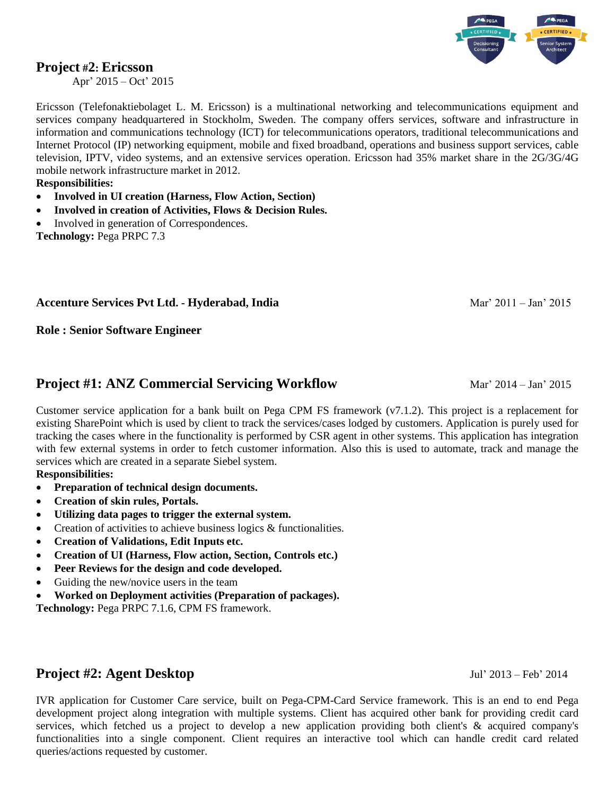

#### **Project #2: Ericsson**

Apr' 2015 – Oct' 2015

Ericsson (Telefonaktiebolaget L. M. Ericsson) is a multinational networking and telecommunications equipment and services company headquartered in Stockholm, Sweden. The company offers services, software and infrastructure in information and communications technology (ICT) for telecommunications operators, traditional telecommunications and Internet Protocol (IP) networking equipment, mobile and fixed broadband, operations and business support services, cable television, IPTV, video systems, and an extensive services operation. Ericsson had 35% market share in the 2G/3G/4G mobile network infrastructure market in 2012.

#### **Responsibilities:**

- **Involved in UI creation (Harness, Flow Action, Section)**
- **Involved in creation of Activities, Flows & Decision Rules.**
- Involved in generation of Correspondences.

**Technology:** Pega PRPC 7.3

#### **Accenture Services Pvt Ltd. - Hyderabad, India** Mar' 2011 – Jan' 2015

**Role : Senior Software Engineer**

### **Project #1: ANZ Commercial Servicing Workflow Mar' 2014 – Jan' 2015**

Customer service application for a bank built on Pega CPM FS framework (v7.1.2). This project is a replacement for existing SharePoint which is used by client to track the services/cases lodged by customers. Application is purely used for tracking the cases where in the functionality is performed by CSR agent in other systems. This application has integration with few external systems in order to fetch customer information. Also this is used to automate, track and manage the services which are created in a separate Siebel system.

**Responsibilities:**

- **Preparation of technical design documents.**
- **Creation of skin rules, Portals.**
- **Utilizing data pages to trigger the external system.**
- Creation of activities to achieve business logics & functionalities.
- **Creation of Validations, Edit Inputs etc.**
- **Creation of UI (Harness, Flow action, Section, Controls etc.)**
- **Peer Reviews for the design and code developed.**
- Guiding the new/novice users in the team
- **Worked on Deployment activities (Preparation of packages).**

**Technology:** Pega PRPC 7.1.6, CPM FS framework.

### **Project #2: Agent Desktop** Jul' 2013 – Feb' 2014

IVR application for Customer Care service, built on Pega-CPM-Card Service framework. This is an end to end Pega development project along integration with multiple systems. Client has acquired other bank for providing credit card services, which fetched us a project to develop a new application providing both client's & acquired company's functionalities into a single component. Client requires an interactive tool which can handle credit card related queries/actions requested by customer.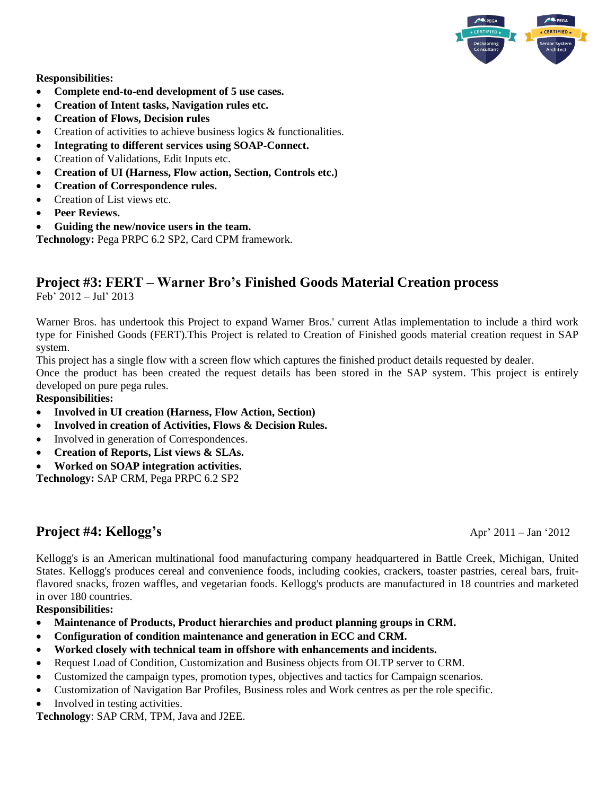

**Responsibilities:**

- **Complete end-to-end development of 5 use cases.**
- **Creation of Intent tasks, Navigation rules etc.**
- **Creation of Flows, Decision rules**
- Creation of activities to achieve business logics & functionalities.
- **Integrating to different services using SOAP-Connect.**
- Creation of Validations, Edit Inputs etc.
- **Creation of UI (Harness, Flow action, Section, Controls etc.)**
- **Creation of Correspondence rules.**
- Creation of List views etc.
- Peer Reviews.
- **Guiding the new/novice users in the team.**

**Technology:** Pega PRPC 6.2 SP2, Card CPM framework.

# **Project #3: FERT – Warner Bro's Finished Goods Material Creation process**

Feb' 2012 – Jul' 2013

Warner Bros. has undertook this Project to expand Warner Bros.' current Atlas implementation to include a third work type for Finished Goods (FERT).This Project is related to Creation of Finished goods material creation request in SAP system.

This project has a single flow with a screen flow which captures the finished product details requested by dealer.

Once the product has been created the request details has been stored in the SAP system. This project is entirely developed on pure pega rules.

**Responsibilities:**

- **Involved in UI creation (Harness, Flow Action, Section)**
- **Involved in creation of Activities, Flows & Decision Rules.**
- Involved in generation of Correspondences.
- **Creation of Reports, List views & SLAs.**
- **Worked on SOAP integration activities.**

**Technology:** SAP CRM, Pega PRPC 6.2 SP2

## **Project #4: Kellogg's** Apr' 2011 – Jan '2012

Kellogg's is an American multinational food manufacturing company headquartered in Battle Creek, Michigan, United States. Kellogg's produces cereal and convenience foods, including cookies, crackers, toaster pastries, cereal bars, fruitflavored snacks, frozen waffles, and vegetarian foods. Kellogg's products are manufactured in 18 countries and marketed in over 180 countries.

**Responsibilities:**

- **Maintenance of Products, Product hierarchies and product planning groups in CRM.**
- **Configuration of condition maintenance and generation in ECC and CRM.**
- **Worked closely with technical team in offshore with enhancements and incidents.**
- Request Load of Condition, Customization and Business objects from OLTP server to CRM.
- Customized the campaign types, promotion types, objectives and tactics for Campaign scenarios.
- Customization of Navigation Bar Profiles, Business roles and Work centres as per the role specific.
- Involved in testing activities.

**Technology**: SAP CRM, TPM, Java and J2EE.